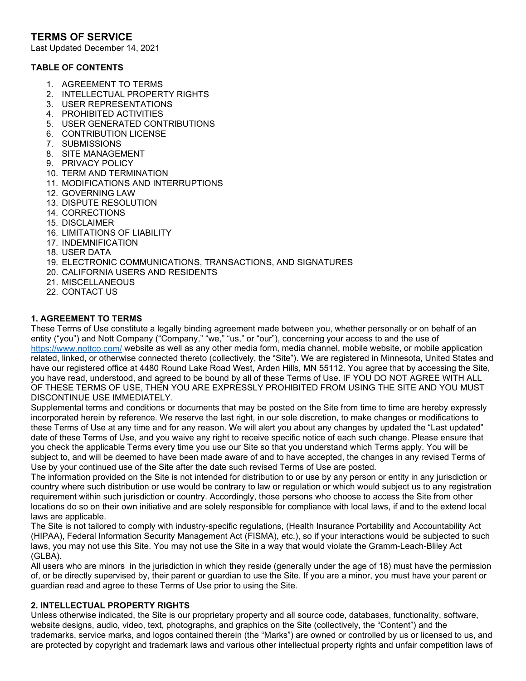# **TERMS OF SERVICE**

Last Updated December 14, 2021

#### **TABLE OF CONTENTS**

- 1. AGREEMENT TO TERMS
- 2. INTELLECTUAL PROPERTY RIGHTS
- 3. USER REPRESENTATIONS
- 4. PROHIBITED ACTIVITIES
- 5. USER GENERATED CONTRIBUTIONS
- 6. CONTRIBUTION LICENSE
- 7. SUBMISSIONS
- 8. SITE MANAGEMENT
- 9. PRIVACY POLICY
- 10. TERM AND TERMINATION
- 11. MODIFICATIONS AND INTERRUPTIONS
- 12. GOVERNING LAW
- 13. DISPUTE RESOLUTION
- 14. CORRECTIONS
- 15. DISCLAIMER
- 16. LIMITATIONS OF LIABILITY
- 17. INDEMNIFICATION
- 18. USER DATA
- 19. ELECTRONIC COMMUNICATIONS, TRANSACTIONS, AND SIGNATURES
- 20. CALIFORNIA USERS AND RESIDENTS
- 21. MISCELLANEOUS
- 22. CONTACT US

### **1. AGREEMENT TO TERMS**

These Terms of Use constitute a legally binding agreement made between you, whether personally or on behalf of an entity ("you") and Nott Company ("Company," "we," "us," or "our"), concerning your access to and the use of <https://www.nottco.com/> website as well as any other media form, media channel, mobile website, or mobile application related, linked, or otherwise connected thereto (collectively, the "Site"). We are registered in Minnesota, United States and have our registered office at 4480 Round Lake Road West, Arden Hills, MN 55112. You agree that by accessing the Site, you have read, understood, and agreed to be bound by all of these Terms of Use. IF YOU DO NOT AGREE WITH ALL OF THESE TERMS OF USE, THEN YOU ARE EXPRESSLY PROHIBITED FROM USING THE SITE AND YOU MUST DISCONTINUE USE IMMEDIATELY.

Supplemental terms and conditions or documents that may be posted on the Site from time to time are hereby expressly incorporated herein by reference. We reserve the last right, in our sole discretion, to make changes or modifications to these Terms of Use at any time and for any reason. We will alert you about any changes by updated the "Last updated" date of these Terms of Use, and you waive any right to receive specific notice of each such change. Please ensure that you check the applicable Terms every time you use our Site so that you understand which Terms apply. You will be subject to, and will be deemed to have been made aware of and to have accepted, the changes in any revised Terms of Use by your continued use of the Site after the date such revised Terms of Use are posted.

The information provided on the Site is not intended for distribution to or use by any person or entity in any jurisdiction or country where such distribution or use would be contrary to law or regulation or which would subject us to any registration requirement within such jurisdiction or country. Accordingly, those persons who choose to access the Site from other locations do so on their own initiative and are solely responsible for compliance with local laws, if and to the extend local laws are applicable.

The Site is not tailored to comply with industry-specific regulations, (Health Insurance Portability and Accountability Act (HIPAA), Federal Information Security Management Act (FISMA), etc.), so if your interactions would be subjected to such laws, you may not use this Site. You may not use the Site in a way that would violate the Gramm-Leach-Bliley Act (GLBA).

All users who are minors in the jurisdiction in which they reside (generally under the age of 18) must have the permission of, or be directly supervised by, their parent or guardian to use the Site. If you are a minor, you must have your parent or guardian read and agree to these Terms of Use prior to using the Site.

#### **2. INTELLECTUAL PROPERTY RIGHTS**

Unless otherwise indicated, the Site is our proprietary property and all source code, databases, functionality, software, website designs, audio, video, text, photographs, and graphics on the Site (collectively, the "Content") and the trademarks, service marks, and logos contained therein (the "Marks") are owned or controlled by us or licensed to us, and are protected by copyright and trademark laws and various other intellectual property rights and unfair competition laws of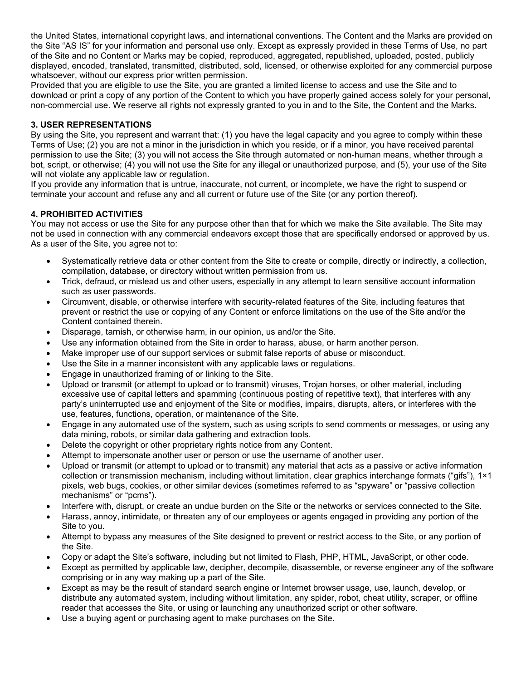the United States, international copyright laws, and international conventions. The Content and the Marks are provided on the Site "AS IS" for your information and personal use only. Except as expressly provided in these Terms of Use, no part of the Site and no Content or Marks may be copied, reproduced, aggregated, republished, uploaded, posted, publicly displayed, encoded, translated, transmitted, distributed, sold, licensed, or otherwise exploited for any commercial purpose whatsoever, without our express prior written permission.

Provided that you are eligible to use the Site, you are granted a limited license to access and use the Site and to download or print a copy of any portion of the Content to which you have properly gained access solely for your personal, non-commercial use. We reserve all rights not expressly granted to you in and to the Site, the Content and the Marks.

### **3. USER REPRESENTATIONS**

By using the Site, you represent and warrant that: (1) you have the legal capacity and you agree to comply within these Terms of Use; (2) you are not a minor in the jurisdiction in which you reside, or if a minor, you have received parental permission to use the Site; (3) you will not access the Site through automated or non-human means, whether through a bot, script, or otherwise; (4) you will not use the Site for any illegal or unauthorized purpose, and (5), your use of the Site will not violate any applicable law or regulation.

If you provide any information that is untrue, inaccurate, not current, or incomplete, we have the right to suspend or terminate your account and refuse any and all current or future use of the Site (or any portion thereof).

### **4. PROHIBITED ACTIVITIES**

You may not access or use the Site for any purpose other than that for which we make the Site available. The Site may not be used in connection with any commercial endeavors except those that are specifically endorsed or approved by us. As a user of the Site, you agree not to:

- Systematically retrieve data or other content from the Site to create or compile, directly or indirectly, a collection, compilation, database, or directory without written permission from us.
- Trick, defraud, or mislead us and other users, especially in any attempt to learn sensitive account information such as user passwords.
- Circumvent, disable, or otherwise interfere with security-related features of the Site, including features that prevent or restrict the use or copying of any Content or enforce limitations on the use of the Site and/or the Content contained therein.
- Disparage, tarnish, or otherwise harm, in our opinion, us and/or the Site.
- Use any information obtained from the Site in order to harass, abuse, or harm another person.
- Make improper use of our support services or submit false reports of abuse or misconduct.
- Use the Site in a manner inconsistent with any applicable laws or regulations.
- Engage in unauthorized framing of or linking to the Site.
- Upload or transmit (or attempt to upload or to transmit) viruses, Trojan horses, or other material, including excessive use of capital letters and spamming (continuous posting of repetitive text), that interferes with any party's uninterrupted use and enjoyment of the Site or modifies, impairs, disrupts, alters, or interferes with the use, features, functions, operation, or maintenance of the Site.
- Engage in any automated use of the system, such as using scripts to send comments or messages, or using any data mining, robots, or similar data gathering and extraction tools.
- Delete the copyright or other proprietary rights notice from any Content.
- Attempt to impersonate another user or person or use the username of another user.
- Upload or transmit (or attempt to upload or to transmit) any material that acts as a passive or active information collection or transmission mechanism, including without limitation, clear graphics interchange formats ("gifs"), 1×1 pixels, web bugs, cookies, or other similar devices (sometimes referred to as "spyware" or "passive collection mechanisms" or "pcms").
- Interfere with, disrupt, or create an undue burden on the Site or the networks or services connected to the Site.
- Harass, annoy, intimidate, or threaten any of our employees or agents engaged in providing any portion of the Site to you.
- Attempt to bypass any measures of the Site designed to prevent or restrict access to the Site, or any portion of the Site.
- Copy or adapt the Site's software, including but not limited to Flash, PHP, HTML, JavaScript, or other code.
- Except as permitted by applicable law, decipher, decompile, disassemble, or reverse engineer any of the software comprising or in any way making up a part of the Site.
- Except as may be the result of standard search engine or Internet browser usage, use, launch, develop, or distribute any automated system, including without limitation, any spider, robot, cheat utility, scraper, or offline reader that accesses the Site, or using or launching any unauthorized script or other software.
- Use a buying agent or purchasing agent to make purchases on the Site.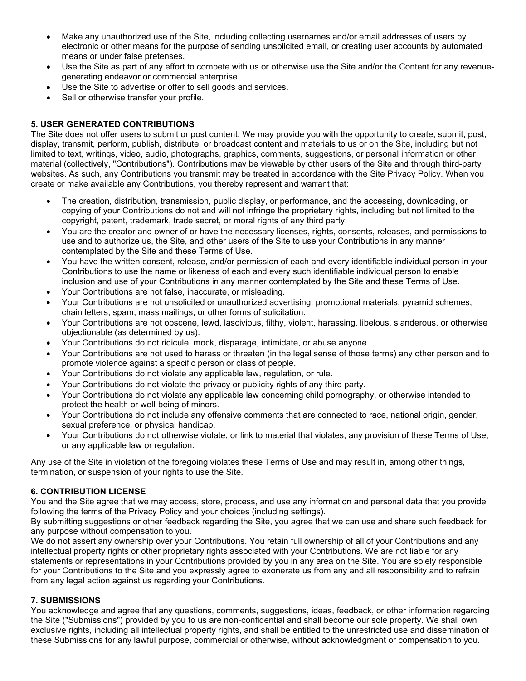- Make any unauthorized use of the Site, including collecting usernames and/or email addresses of users by electronic or other means for the purpose of sending unsolicited email, or creating user accounts by automated means or under false pretenses.
- Use the Site as part of any effort to compete with us or otherwise use the Site and/or the Content for any revenuegenerating endeavor or commercial enterprise.
- Use the Site to advertise or offer to sell goods and services.
- Sell or otherwise transfer your profile.

### **5. USER GENERATED CONTRIBUTIONS**

The Site does not offer users to submit or post content. We may provide you with the opportunity to create, submit, post, display, transmit, perform, publish, distribute, or broadcast content and materials to us or on the Site, including but not limited to text, writings, video, audio, photographs, graphics, comments, suggestions, or personal information or other material (collectively, "Contributions"). Contributions may be viewable by other users of the Site and through third-party websites. As such, any Contributions you transmit may be treated in accordance with the Site Privacy Policy. When you create or make available any Contributions, you thereby represent and warrant that:

- The creation, distribution, transmission, public display, or performance, and the accessing, downloading, or copying of your Contributions do not and will not infringe the proprietary rights, including but not limited to the copyright, patent, trademark, trade secret, or moral rights of any third party.
- You are the creator and owner of or have the necessary licenses, rights, consents, releases, and permissions to use and to authorize us, the Site, and other users of the Site to use your Contributions in any manner contemplated by the Site and these Terms of Use.
- You have the written consent, release, and/or permission of each and every identifiable individual person in your Contributions to use the name or likeness of each and every such identifiable individual person to enable inclusion and use of your Contributions in any manner contemplated by the Site and these Terms of Use.
- Your Contributions are not false, inaccurate, or misleading.
- Your Contributions are not unsolicited or unauthorized advertising, promotional materials, pyramid schemes, chain letters, spam, mass mailings, or other forms of solicitation.
- Your Contributions are not obscene, lewd, lascivious, filthy, violent, harassing, libelous, slanderous, or otherwise objectionable (as determined by us).
- Your Contributions do not ridicule, mock, disparage, intimidate, or abuse anyone.
- Your Contributions are not used to harass or threaten (in the legal sense of those terms) any other person and to promote violence against a specific person or class of people.
- Your Contributions do not violate any applicable law, regulation, or rule.
- Your Contributions do not violate the privacy or publicity rights of any third party.
- Your Contributions do not violate any applicable law concerning child pornography, or otherwise intended to protect the health or well-being of minors.
- Your Contributions do not include any offensive comments that are connected to race, national origin, gender, sexual preference, or physical handicap.
- Your Contributions do not otherwise violate, or link to material that violates, any provision of these Terms of Use, or any applicable law or regulation.

Any use of the Site in violation of the foregoing violates these Terms of Use and may result in, among other things, termination, or suspension of your rights to use the Site.

### **6. CONTRIBUTION LICENSE**

You and the Site agree that we may access, store, process, and use any information and personal data that you provide following the terms of the Privacy Policy and your choices (including settings).

By submitting suggestions or other feedback regarding the Site, you agree that we can use and share such feedback for any purpose without compensation to you.

We do not assert any ownership over your Contributions. You retain full ownership of all of your Contributions and any intellectual property rights or other proprietary rights associated with your Contributions. We are not liable for any statements or representations in your Contributions provided by you in any area on the Site. You are solely responsible for your Contributions to the Site and you expressly agree to exonerate us from any and all responsibility and to refrain from any legal action against us regarding your Contributions.

# **7. SUBMISSIONS**

You acknowledge and agree that any questions, comments, suggestions, ideas, feedback, or other information regarding the Site ("Submissions") provided by you to us are non-confidential and shall become our sole property. We shall own exclusive rights, including all intellectual property rights, and shall be entitled to the unrestricted use and dissemination of these Submissions for any lawful purpose, commercial or otherwise, without acknowledgment or compensation to you.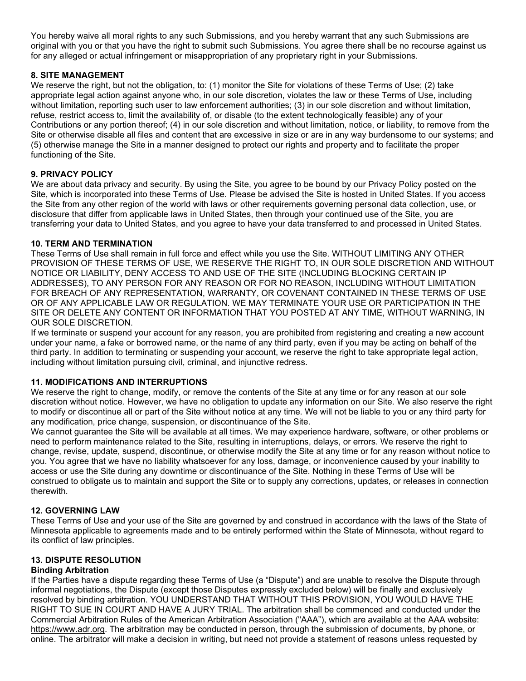You hereby waive all moral rights to any such Submissions, and you hereby warrant that any such Submissions are original with you or that you have the right to submit such Submissions. You agree there shall be no recourse against us for any alleged or actual infringement or misappropriation of any proprietary right in your Submissions.

### **8. SITE MANAGEMENT**

We reserve the right, but not the obligation, to: (1) monitor the Site for violations of these Terms of Use; (2) take appropriate legal action against anyone who, in our sole discretion, violates the law or these Terms of Use, including without limitation, reporting such user to law enforcement authorities; (3) in our sole discretion and without limitation, refuse, restrict access to, limit the availability of, or disable (to the extent technologically feasible) any of your Contributions or any portion thereof; (4) in our sole discretion and without limitation, notice, or liability, to remove from the Site or otherwise disable all files and content that are excessive in size or are in any way burdensome to our systems; and (5) otherwise manage the Site in a manner designed to protect our rights and property and to facilitate the proper functioning of the Site.

### **9. PRIVACY POLICY**

We are about data privacy and security. By using the Site, you agree to be bound by our Privacy Policy posted on the Site, which is incorporated into these Terms of Use. Please be advised the Site is hosted in United States. If you access the Site from any other region of the world with laws or other requirements governing personal data collection, use, or disclosure that differ from applicable laws in United States, then through your continued use of the Site, you are transferring your data to United States, and you agree to have your data transferred to and processed in United States.

### **10. TERM AND TERMINATION**

These Terms of Use shall remain in full force and effect while you use the Site. WITHOUT LIMITING ANY OTHER PROVISION OF THESE TERMS OF USE, WE RESERVE THE RIGHT TO, IN OUR SOLE DISCRETION AND WITHOUT NOTICE OR LIABILITY, DENY ACCESS TO AND USE OF THE SITE (INCLUDING BLOCKING CERTAIN IP ADDRESSES), TO ANY PERSON FOR ANY REASON OR FOR NO REASON, INCLUDING WITHOUT LIMITATION FOR BREACH OF ANY REPRESENTATION, WARRANTY, OR COVENANT CONTAINED IN THESE TERMS OF USE OR OF ANY APPLICABLE LAW OR REGULATION. WE MAY TERMINATE YOUR USE OR PARTICIPATION IN THE SITE OR DELETE ANY CONTENT OR INFORMATION THAT YOU POSTED AT ANY TIME, WITHOUT WARNING, IN OUR SOLE DISCRETION.

If we terminate or suspend your account for any reason, you are prohibited from registering and creating a new account under your name, a fake or borrowed name, or the name of any third party, even if you may be acting on behalf of the third party. In addition to terminating or suspending your account, we reserve the right to take appropriate legal action, including without limitation pursuing civil, criminal, and injunctive redress.

### **11. MODIFICATIONS AND INTERRUPTIONS**

We reserve the right to change, modify, or remove the contents of the Site at any time or for any reason at our sole discretion without notice. However, we have no obligation to update any information on our Site. We also reserve the right to modify or discontinue all or part of the Site without notice at any time. We will not be liable to you or any third party for any modification, price change, suspension, or discontinuance of the Site.

We cannot guarantee the Site will be available at all times. We may experience hardware, software, or other problems or need to perform maintenance related to the Site, resulting in interruptions, delays, or errors. We reserve the right to change, revise, update, suspend, discontinue, or otherwise modify the Site at any time or for any reason without notice to you. You agree that we have no liability whatsoever for any loss, damage, or inconvenience caused by your inability to access or use the Site during any downtime or discontinuance of the Site. Nothing in these Terms of Use will be construed to obligate us to maintain and support the Site or to supply any corrections, updates, or releases in connection therewith.

### **12. GOVERNING LAW**

These Terms of Use and your use of the Site are governed by and construed in accordance with the laws of the State of Minnesota applicable to agreements made and to be entirely performed within the State of Minnesota, without regard to its conflict of law principles.

### **13. DISPUTE RESOLUTION**

### **Binding Arbitration**

If the Parties have a dispute regarding these Terms of Use (a "Dispute") and are unable to resolve the Dispute through informal negotiations, the Dispute (except those Disputes expressly excluded below) will be finally and exclusively resolved by binding arbitration. YOU UNDERSTAND THAT WITHOUT THIS PROVISION, YOU WOULD HAVE THE RIGHT TO SUE IN COURT AND HAVE A JURY TRIAL. The arbitration shall be commenced and conducted under the Commercial Arbitration Rules of the American Arbitration Association ("AAA"), which are available at the AAA website: [https://www.adr.org.](https://www.adr.org/) The arbitration may be conducted in person, through the submission of documents, by phone, or online. The arbitrator will make a decision in writing, but need not provide a statement of reasons unless requested by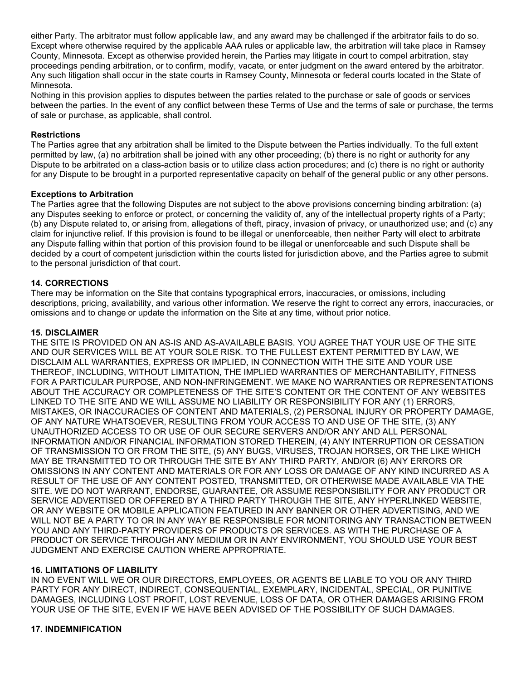either Party. The arbitrator must follow applicable law, and any award may be challenged if the arbitrator fails to do so. Except where otherwise required by the applicable AAA rules or applicable law, the arbitration will take place in Ramsey County, Minnesota. Except as otherwise provided herein, the Parties may litigate in court to compel arbitration, stay proceedings pending arbitration, or to confirm, modify, vacate, or enter judgment on the award entered by the arbitrator. Any such litigation shall occur in the state courts in Ramsey County, Minnesota or federal courts located in the State of Minnesota.

Nothing in this provision applies to disputes between the parties related to the purchase or sale of goods or services between the parties. In the event of any conflict between these Terms of Use and the terms of sale or purchase, the terms of sale or purchase, as applicable, shall control.

#### **Restrictions**

The Parties agree that any arbitration shall be limited to the Dispute between the Parties individually. To the full extent permitted by law, (a) no arbitration shall be joined with any other proceeding; (b) there is no right or authority for any Dispute to be arbitrated on a class-action basis or to utilize class action procedures; and (c) there is no right or authority for any Dispute to be brought in a purported representative capacity on behalf of the general public or any other persons.

#### **Exceptions to Arbitration**

The Parties agree that the following Disputes are not subject to the above provisions concerning binding arbitration: (a) any Disputes seeking to enforce or protect, or concerning the validity of, any of the intellectual property rights of a Party; (b) any Dispute related to, or arising from, allegations of theft, piracy, invasion of privacy, or unauthorized use; and (c) any claim for injunctive relief. If this provision is found to be illegal or unenforceable, then neither Party will elect to arbitrate any Dispute falling within that portion of this provision found to be illegal or unenforceable and such Dispute shall be decided by a court of competent jurisdiction within the courts listed for jurisdiction above, and the Parties agree to submit to the personal jurisdiction of that court.

#### **14. CORRECTIONS**

There may be information on the Site that contains typographical errors, inaccuracies, or omissions, including descriptions, pricing, availability, and various other information. We reserve the right to correct any errors, inaccuracies, or omissions and to change or update the information on the Site at any time, without prior notice.

#### **15. DISCLAIMER**

THE SITE IS PROVIDED ON AN AS-IS AND AS-AVAILABLE BASIS. YOU AGREE THAT YOUR USE OF THE SITE AND OUR SERVICES WILL BE AT YOUR SOLE RISK. TO THE FULLEST EXTENT PERMITTED BY LAW, WE DISCLAIM ALL WARRANTIES, EXPRESS OR IMPLIED, IN CONNECTION WITH THE SITE AND YOUR USE THEREOF, INCLUDING, WITHOUT LIMITATION, THE IMPLIED WARRANTIES OF MERCHANTABILITY, FITNESS FOR A PARTICULAR PURPOSE, AND NON-INFRINGEMENT. WE MAKE NO WARRANTIES OR REPRESENTATIONS ABOUT THE ACCURACY OR COMPLETENESS OF THE SITE'S CONTENT OR THE CONTENT OF ANY WEBSITES LINKED TO THE SITE AND WE WILL ASSUME NO LIABILITY OR RESPONSIBILITY FOR ANY (1) ERRORS, MISTAKES, OR INACCURACIES OF CONTENT AND MATERIALS, (2) PERSONAL INJURY OR PROPERTY DAMAGE, OF ANY NATURE WHATSOEVER, RESULTING FROM YOUR ACCESS TO AND USE OF THE SITE, (3) ANY UNAUTHORIZED ACCESS TO OR USE OF OUR SECURE SERVERS AND/OR ANY AND ALL PERSONAL INFORMATION AND/OR FINANCIAL INFORMATION STORED THEREIN, (4) ANY INTERRUPTION OR CESSATION OF TRANSMISSION TO OR FROM THE SITE, (5) ANY BUGS, VIRUSES, TROJAN HORSES, OR THE LIKE WHICH MAY BE TRANSMITTED TO OR THROUGH THE SITE BY ANY THIRD PARTY, AND/OR (6) ANY ERRORS OR OMISSIONS IN ANY CONTENT AND MATERIALS OR FOR ANY LOSS OR DAMAGE OF ANY KIND INCURRED AS A RESULT OF THE USE OF ANY CONTENT POSTED, TRANSMITTED, OR OTHERWISE MADE AVAILABLE VIA THE SITE. WE DO NOT WARRANT, ENDORSE, GUARANTEE, OR ASSUME RESPONSIBILITY FOR ANY PRODUCT OR SERVICE ADVERTISED OR OFFERED BY A THIRD PARTY THROUGH THE SITE, ANY HYPERLINKED WEBSITE, OR ANY WEBSITE OR MOBILE APPLICATION FEATURED IN ANY BANNER OR OTHER ADVERTISING, AND WE WILL NOT BE A PARTY TO OR IN ANY WAY BE RESPONSIBLE FOR MONITORING ANY TRANSACTION BETWEEN YOU AND ANY THIRD-PARTY PROVIDERS OF PRODUCTS OR SERVICES. AS WITH THE PURCHASE OF A PRODUCT OR SERVICE THROUGH ANY MEDIUM OR IN ANY ENVIRONMENT, YOU SHOULD USE YOUR BEST JUDGMENT AND EXERCISE CAUTION WHERE APPROPRIATE.

#### **16. LIMITATIONS OF LIABILITY**

IN NO EVENT WILL WE OR OUR DIRECTORS, EMPLOYEES, OR AGENTS BE LIABLE TO YOU OR ANY THIRD PARTY FOR ANY DIRECT, INDIRECT, CONSEQUENTIAL, EXEMPLARY, INCIDENTAL, SPECIAL, OR PUNITIVE DAMAGES, INCLUDING LOST PROFIT, LOST REVENUE, LOSS OF DATA, OR OTHER DAMAGES ARISING FROM YOUR USE OF THE SITE, EVEN IF WE HAVE BEEN ADVISED OF THE POSSIBILITY OF SUCH DAMAGES.

#### **17. INDEMNIFICATION**